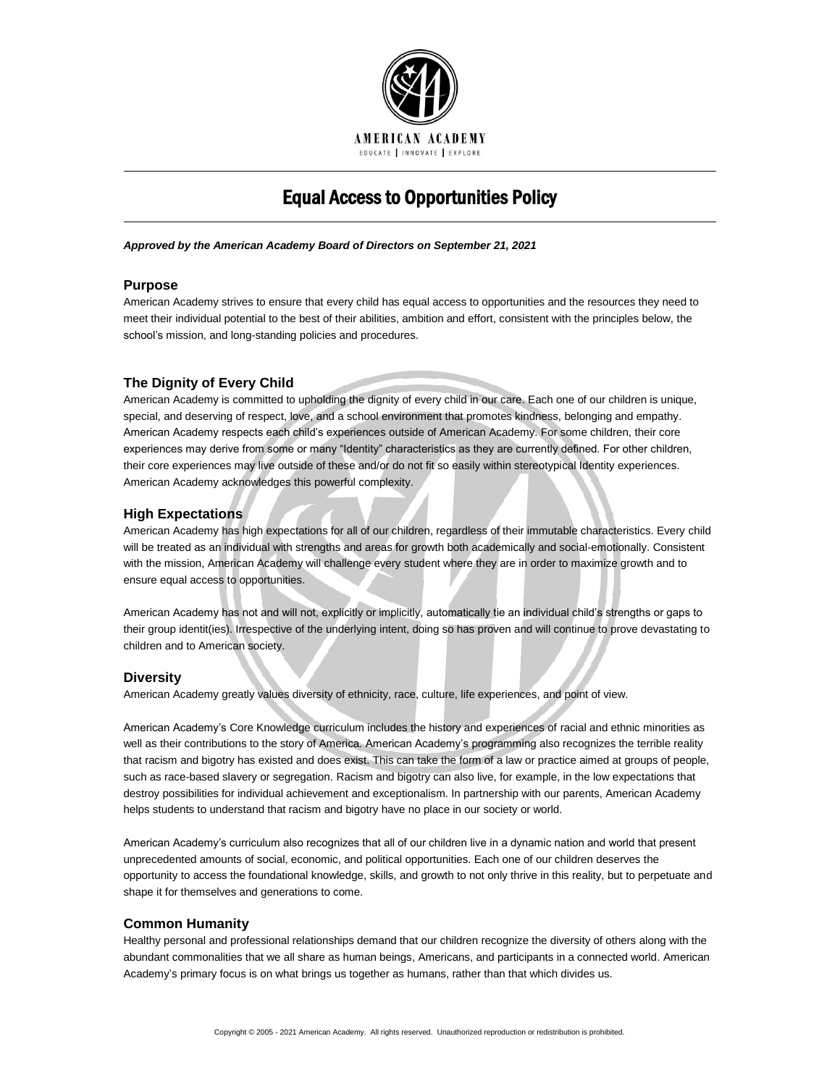

# Equal Access to Opportunities Policy

#### *Approved by the American Academy Board of Directors on September 21, 2021*

# **Purpose**

American Academy strives to ensure that every child has equal access to opportunities and the resources they need to meet their individual potential to the best of their abilities, ambition and effort, consistent with the principles below, the school's mission, and long-standing policies and procedures.

# **The Dignity of Every Child**

American Academy is committed to upholding the dignity of every child in our care. Each one of our children is unique, special, and deserving of respect, love, and a school environment that promotes kindness, belonging and empathy. American Academy respects each child's experiences outside of American Academy. For some children, their core experiences may derive from some or many "Identity" characteristics as they are currently defined. For other children, their core experiences may live outside of these and/or do not fit so easily within stereotypical Identity experiences. American Academy acknowledges this powerful complexity.

# **High Expectations**

American Academy has high expectations for all of our children, regardless of their immutable characteristics. Every child will be treated as an individual with strengths and areas for growth both academically and social-emotionally. Consistent with the mission, American Academy will challenge every student where they are in order to maximize growth and to ensure equal access to opportunities.

American Academy has not and will not, explicitly or implicitly, automatically tie an individual child's strengths or gaps to their group identit(ies). Irrespective of the underlying intent, doing so has proven and will continue to prove devastating to children and to American society.

# **Diversity**

American Academy greatly values diversity of ethnicity, race, culture, life experiences, and point of view.

American Academy's Core Knowledge curriculum includes the history and experiences of racial and ethnic minorities as well as their contributions to the story of America. American Academy's programming also recognizes the terrible reality that racism and bigotry has existed and does exist. This can take the form of a law or practice aimed at groups of people, such as race-based slavery or segregation. Racism and bigotry can also live, for example, in the low expectations that destroy possibilities for individual achievement and exceptionalism. In partnership with our parents, American Academy helps students to understand that racism and bigotry have no place in our society or world.

American Academy's curriculum also recognizes that all of our children live in a dynamic nation and world that present unprecedented amounts of social, economic, and political opportunities. Each one of our children deserves the opportunity to access the foundational knowledge, skills, and growth to not only thrive in this reality, but to perpetuate and shape it for themselves and generations to come.

# **Common Humanity**

Healthy personal and professional relationships demand that our children recognize the diversity of others along with the abundant commonalities that we all share as human beings, Americans, and participants in a connected world. American Academy's primary focus is on what brings us together as humans, rather than that which divides us.